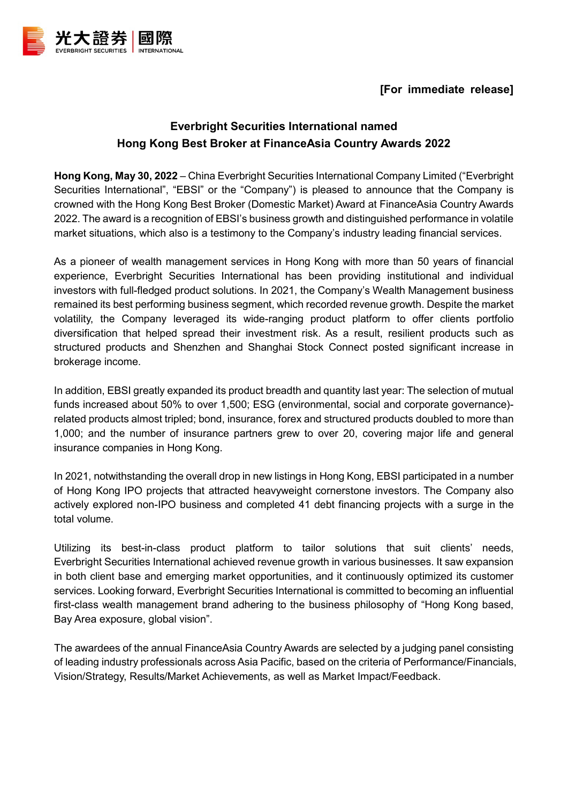



## **Everbright Securities International named Hong Kong Best Broker at FinanceAsia Country Awards 2022**

**Hong Kong, May 30, 2022** – China Everbright Securities International Company Limited ("Everbright Securities International", "EBSI" or the "Company") is pleased to announce that the Company is crowned with the Hong Kong Best Broker (Domestic Market) Award at FinanceAsia Country Awards 2022. The award is a recognition of EBSI's business growth and distinguished performance in volatile market situations, which also is a testimony to the Company's industry leading financial services.

As a pioneer of wealth management services in Hong Kong with more than 50 years of financial experience, Everbright Securities International has been providing institutional and individual investors with full-fledged product solutions. In 2021, the Company's Wealth Management business remained its best performing business segment, which recorded revenue growth. Despite the market volatility, the Company leveraged its wide-ranging product platform to offer clients portfolio diversification that helped spread their investment risk. As a result, resilient products such as structured products and Shenzhen and Shanghai Stock Connect posted significant increase in brokerage income.

In addition, EBSI greatly expanded its product breadth and quantity last year: The selection of mutual funds increased about 50% to over 1,500; ESG (environmental, social and corporate governance) related products almost tripled; bond, insurance, forex and structured products doubled to more than 1,000; and the number of insurance partners grew to over 20, covering major life and general insurance companies in Hong Kong.

In 2021, notwithstanding the overall drop in new listings in Hong Kong, EBSI participated in a number of Hong Kong IPO projects that attracted heavyweight cornerstone investors. The Company also actively explored non-IPO business and completed 41 debt financing projects with a surge in the total volume.

Utilizing its best-in-class product platform to tailor solutions that suit clients' needs, Everbright Securities International achieved revenue growth in various businesses. It saw expansion in both client base and emerging market opportunities, and it continuously optimized its customer services. Looking forward, Everbright Securities International is committed to becoming an influential first-class wealth management brand adhering to the business philosophy of "Hong Kong based, Bay Area exposure, global vision".

The awardees of the annual FinanceAsia Country Awards are selected by a judging panel consisting of leading industry professionals across Asia Pacific, based on the criteria of Performance/Financials, Vision/Strategy, Results/Market Achievements, as well as Market Impact/Feedback.